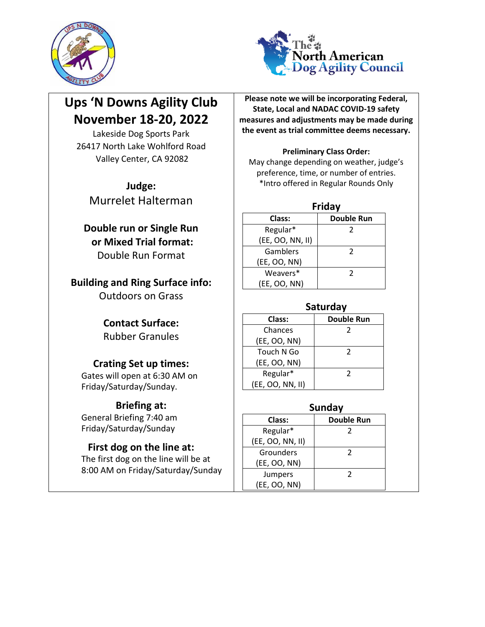



# **Ups 'N Downs Agility Club November 18-20, 2022**

Lakeside Dog Sports Park 26417 North Lake Wohlford Road Valley Center, CA 92082

**Judge:** Murrelet Halterman

# **Double run or Single Run or Mixed Trial format:** Double Run Format

**Building and Ring Surface info:**

Outdoors on Grass

## **Contact Surface:** Rubber Granules

# **Crating Set up times:**

Gates will open at 6:30 AM on Friday/Saturday/Sunday.

# **Briefing at:**

General Briefing 7:40 am Friday/Saturday/Sunday

# **First dog on the line at:**

The first dog on the line will be at 8:00 AM on Friday/Saturday/Sunday

**Please note we will be incorporating Federal, State, Local and NADAC COVID-19 safety measures and adjustments may be made during the event as trial committee deems necessary.** 

#### **Preliminary Class Order:**

May change depending on weather, judge's preference, time, or number of entries. \*Intro offered in Regular Rounds Only

**Friday**

| Class:           | <b>Double Run</b> |
|------------------|-------------------|
| Regular*         | 2                 |
| (EE, OO, NN, II) |                   |
| Gamblers         | 2                 |
| (EE, OO, NN)     |                   |
| Weavers*         | $\mathcal{P}$     |
| (EE, OO, NN)     |                   |

| Saturday                    |               |  |  |  |  |  |
|-----------------------------|---------------|--|--|--|--|--|
| <b>Double Run</b><br>Class: |               |  |  |  |  |  |
| Chances                     | 2             |  |  |  |  |  |
| (EE, OO, NN)                |               |  |  |  |  |  |
| Touch N Go                  | $\mathcal{L}$ |  |  |  |  |  |
| (EE, OO, NN)                |               |  |  |  |  |  |
| Regular*                    | $\mathcal{L}$ |  |  |  |  |  |
| (EE, OO, NN, II)            |               |  |  |  |  |  |

| Sunday           |                   |  |  |  |  |
|------------------|-------------------|--|--|--|--|
| Class:           | <b>Double Run</b> |  |  |  |  |
| Regular*         | 2                 |  |  |  |  |
| (EE, OO, NN, II) |                   |  |  |  |  |
| Grounders        | 2                 |  |  |  |  |
| (EE, OO, NN)     |                   |  |  |  |  |
| Jumpers          | 2                 |  |  |  |  |
| (EE, OO, NN)     |                   |  |  |  |  |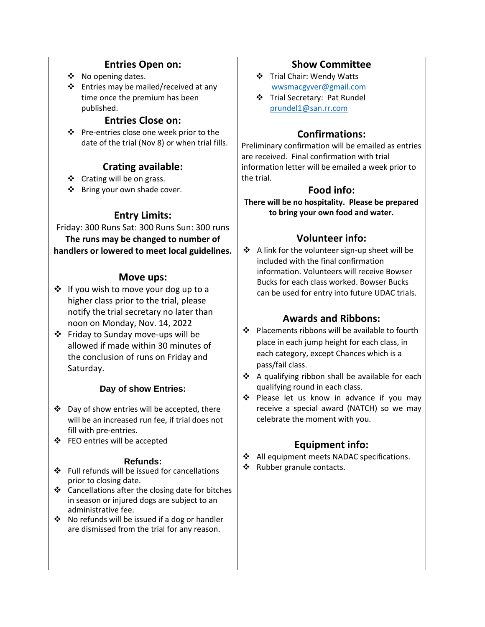#### **Entries Open on:**

- ❖ No opening dates.
- ❖ Entries may be mailed/received at any time once the premium has been published.

### **Entries Close on:**

❖ Pre-entries close one week prior to the date of the trial (Nov 8) or when trial fills.

### **Crating available:**

- ❖ Crating will be on grass.
- ❖ Bring your own shade cover.

### **Entry Limits:**

Friday: 300 Runs Sat: 300 Runs Sun: 300 runs **The runs may be changed to number of handlers or lowered to meet local guidelines.**

#### **Move ups:**

- ❖ If you wish to move your dog up to a higher class prior to the trial, please notify the trial secretary no later than noon on Monday, Nov. 14, 2022
- ❖ Friday to Sunday move-ups will be allowed if made within 30 minutes of the conclusion of runs on Friday and Saturday.

### **Day of show Entries:**

- ❖ Day of show entries will be accepted, there will be an increased run fee, if trial does not fill with pre-entries.
- ❖ FEO entries will be accepted

#### **Refunds:**

- ❖ Full refunds will be issued for cancellations prior to closing date.
- ❖ Cancellations after the closing date for bitches in season or injured dogs are subject to an administrative fee.
- ❖ No refunds will be issued if a dog or handler are dismissed from the trial for any reason.

#### **Show Committee**

- ❖ Trial Chair: Wendy Watts <wwsmacgyver@gmail.com>
- ❖ Trial Secretary: Pat Rundel [prundel1@san.rr.com](mailto:prundel1@san.rr.com)

### **Confirmations:**

Preliminary confirmation will be emailed as entries are received. Final confirmation with trial information letter will be emailed a week prior to the trial.

### **Food info:**

**There will be no hospitality. Please be prepared to bring your own food and water.** 

### **Volunteer info:**

❖ A link for the volunteer sign-up sheet will be included with the final confirmation information. Volunteers will receive Bowser Bucks for each class worked. Bowser Bucks can be used for entry into future UDAC trials.

### **Awards and Ribbons:**

- ❖ Placements ribbons will be available to fourth place in each jump height for each class, in each category, except Chances which is a pass/fail class.
- ❖ A qualifying ribbon shall be available for each qualifying round in each class.
- ❖ Please let us know in advance if you may receive a special award (NATCH) so we may celebrate the moment with you.

### **Equipment info:**

- ❖ All equipment meets NADAC specifications.
- ❖ Rubber granule contacts.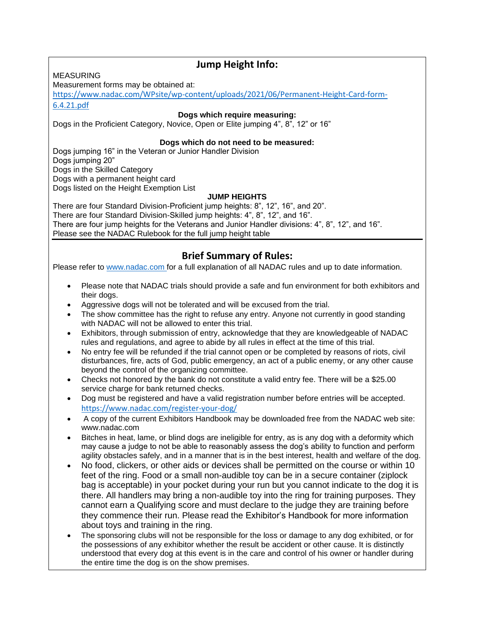### **Jump Height Info:**

MEASURING

Measurement forms may be obtained at:

[https://www.nadac.com/WPsite/wp-content/uploads/2021/06/Permanent-Height-Card-form-](https://www.nadac.com/WPsite/wp-content/uploads/2021/06/Permanent-Height-Card-form-6.4.21.pdf)[6.4.21.pdf](https://www.nadac.com/WPsite/wp-content/uploads/2021/06/Permanent-Height-Card-form-6.4.21.pdf)

**Dogs which require measuring:**

Dogs in the Proficient Category, Novice, Open or Elite jumping 4", 8", 12" or 16"

#### **Dogs which do not need to be measured:**

Dogs jumping 16" in the Veteran or Junior Handler Division Dogs jumping 20" Dogs in the Skilled Category Dogs with a permanent height card Dogs listed on the Height Exemption List

#### **JUMP HEIGHTS**

There are four Standard Division-Proficient jump heights: 8", 12", 16", and 20". There are four Standard Division-Skilled jump heights: 4", 8", 12", and 16". There are four jump heights for the Veterans and Junior Handler divisions: 4", 8", 12", and 16". Please see the NADAC Rulebook for the full jump height table

### **Brief Summary of Rules:**

Please refer to [www.nadac.com](http://www.nadac.com/) for a full explanation of all NADAC rules and up to date information.

- Please note that NADAC trials should provide a safe and fun environment for both exhibitors and their dogs.
- Aggressive dogs will not be tolerated and will be excused from the trial.
- The show committee has the right to refuse any entry. Anyone not currently in good standing with NADAC will not be allowed to enter this trial.
- Exhibitors, through submission of entry, acknowledge that they are knowledgeable of NADAC rules and regulations, and agree to abide by all rules in effect at the time of this trial.
- No entry fee will be refunded if the trial cannot open or be completed by reasons of riots, civil disturbances, fire, acts of God, public emergency, an act of a public enemy, or any other cause beyond the control of the organizing committee.
- Checks not honored by the bank do not constitute a valid entry fee. There will be a \$25.00 service charge for bank returned checks.
- Dog must be registered and have a valid registration number before entries will be accepted. <https://www.nadac.com/register-your-dog/>
- A copy of the current Exhibitors Handbook may be downloaded free from the NADAC web site: www.nadac.com
- Bitches in heat, lame, or blind dogs are ineligible for entry, as is any dog with a deformity which may cause a judge to not be able to reasonably assess the dog's ability to function and perform agility obstacles safely, and in a manner that is in the best interest, health and welfare of the dog.
- No food, clickers, or other aids or devices shall be permitted on the course or within 10 feet of the ring. Food or a small non-audible toy can be in a secure container (ziplock bag is acceptable) in your pocket during your run but you cannot indicate to the dog it is there. All handlers may bring a non-audible toy into the ring for training purposes. They cannot earn a Qualifying score and must declare to the judge they are training before they commence their run. Please read the Exhibitor's Handbook for more information about toys and training in the ring.
- The sponsoring clubs will not be responsible for the loss or damage to any dog exhibited, or for the possessions of any exhibitor whether the result be accident or other cause. It is distinctly understood that every dog at this event is in the care and control of his owner or handler during the entire time the dog is on the show premises.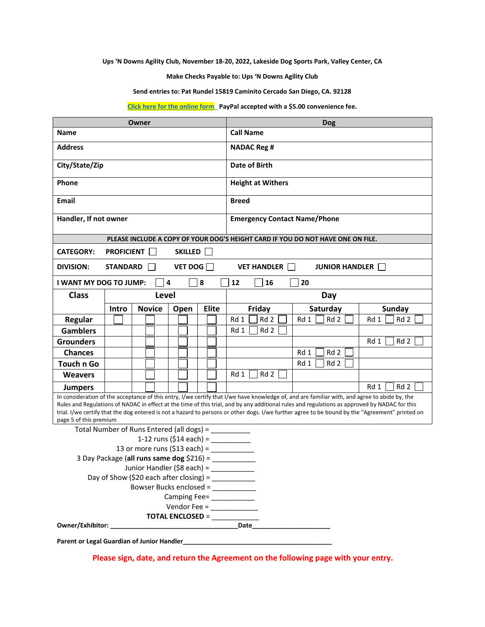**Ups 'N Downs Agility Club, November 18-20, 2022, Lakeside Dog Sports Park, Valley Center, CA**

**Make Checks Payable to: Ups 'N Downs Agility Club**

**Send entries to: Pat Rundel 15819 Caminito Cercado San Diego, CA. 92128**

**[Click here for the online form P](https://docs.google.com/forms/d/e/1FAIpQLSebVyLjmxn0ETEcN_ur7vo_Q8bl75X_9VE9r33MpOTcGK1jSg/viewform)ayPal accepted with a \$5.00 convenience fee.**

|                                                                                                                                                                                                                                                                                                                                                                                                                                                                             |                   | Owner |               |                |   |                      | <b>Dog</b>         |                  |  |                                     |      |                                                                                 |               |
|-----------------------------------------------------------------------------------------------------------------------------------------------------------------------------------------------------------------------------------------------------------------------------------------------------------------------------------------------------------------------------------------------------------------------------------------------------------------------------|-------------------|-------|---------------|----------------|---|----------------------|--------------------|------------------|--|-------------------------------------|------|---------------------------------------------------------------------------------|---------------|
| Name                                                                                                                                                                                                                                                                                                                                                                                                                                                                        |                   |       |               |                |   |                      |                    | <b>Call Name</b> |  |                                     |      |                                                                                 |               |
| <b>Address</b>                                                                                                                                                                                                                                                                                                                                                                                                                                                              |                   |       |               |                |   |                      | <b>NADAC Reg #</b> |                  |  |                                     |      |                                                                                 |               |
| City/State/Zip                                                                                                                                                                                                                                                                                                                                                                                                                                                              |                   |       |               |                |   | <b>Date of Birth</b> |                    |                  |  |                                     |      |                                                                                 |               |
| Phone                                                                                                                                                                                                                                                                                                                                                                                                                                                                       |                   |       |               |                |   |                      |                    |                  |  | <b>Height at Withers</b>            |      |                                                                                 |               |
| <b>Email</b>                                                                                                                                                                                                                                                                                                                                                                                                                                                                |                   |       |               |                |   |                      |                    | <b>Breed</b>     |  |                                     |      |                                                                                 |               |
| Handler, If not owner                                                                                                                                                                                                                                                                                                                                                                                                                                                       |                   |       |               |                |   |                      |                    |                  |  | <b>Emergency Contact Name/Phone</b> |      |                                                                                 |               |
|                                                                                                                                                                                                                                                                                                                                                                                                                                                                             |                   |       |               |                |   |                      |                    |                  |  |                                     |      | PLEASE INCLUDE A COPY OF YOUR DOG'S HEIGHT CARD IF YOU DO NOT HAVE ONE ON FILE. |               |
| <b>CATEGORY:</b>                                                                                                                                                                                                                                                                                                                                                                                                                                                            | <b>PROFICIENT</b> |       |               | SKILLED        |   |                      |                    |                  |  |                                     |      |                                                                                 |               |
| <b>DIVISION:</b>                                                                                                                                                                                                                                                                                                                                                                                                                                                            | <b>STANDARD</b>   |       |               | VET DOG        |   |                      |                    |                  |  | <b>VET HANDLER</b>                  |      | <b>JUNIOR HANDLER</b>                                                           |               |
| I WANT MY DOG TO JUMP:                                                                                                                                                                                                                                                                                                                                                                                                                                                      |                   |       |               | $\overline{a}$ | 8 |                      |                    | 12               |  | 16                                  | 20   |                                                                                 |               |
| <b>Class</b>                                                                                                                                                                                                                                                                                                                                                                                                                                                                |                   |       | <b>Level</b>  |                |   |                      |                    | Day              |  |                                     |      |                                                                                 |               |
|                                                                                                                                                                                                                                                                                                                                                                                                                                                                             | Intro             |       | <b>Novice</b> | Open           |   | <b>Elite</b>         |                    |                  |  | Friday                              |      | Saturday                                                                        | <b>Sunday</b> |
| Regular                                                                                                                                                                                                                                                                                                                                                                                                                                                                     |                   |       |               |                |   |                      |                    | Rd 1             |  | Rd 2                                | Rd 1 | Rd 2                                                                            | Rd 1<br>Rd 2  |
| <b>Gamblers</b>                                                                                                                                                                                                                                                                                                                                                                                                                                                             |                   |       |               |                |   |                      |                    | Rd 1             |  | Rd 2                                |      |                                                                                 |               |
| <b>Grounders</b>                                                                                                                                                                                                                                                                                                                                                                                                                                                            |                   |       |               |                |   |                      |                    |                  |  |                                     |      |                                                                                 | Rd 1<br>Rd 2  |
| <b>Chances</b>                                                                                                                                                                                                                                                                                                                                                                                                                                                              |                   |       |               |                |   |                      |                    |                  |  |                                     | Rd 1 | Rd 2                                                                            |               |
| <b>Touch n Go</b>                                                                                                                                                                                                                                                                                                                                                                                                                                                           |                   |       |               |                |   |                      |                    |                  |  |                                     | Rd 1 | Rd 2                                                                            |               |
| <b>Weavers</b>                                                                                                                                                                                                                                                                                                                                                                                                                                                              |                   |       |               |                |   |                      |                    | Rd 1             |  | Rd 2                                |      |                                                                                 |               |
| <b>Jumpers</b>                                                                                                                                                                                                                                                                                                                                                                                                                                                              |                   |       |               |                |   |                      |                    |                  |  |                                     |      |                                                                                 | Rd 2<br>Rd 1  |
| In consideration of the acceptance of this entry, I/we certify that I/we have knowledge of, and are familiar with, and agree to abide by, the<br>Rules and Regulations of NADAC in effect at the time of this trial, and by any additional rules and regulations as approved by NADAC for this<br>trial. I/we certify that the dog entered is not a hazard to persons or other dogs. I/we further agree to be bound by the "Agreement" printed on<br>page 5 of this premium |                   |       |               |                |   |                      |                    |                  |  |                                     |      |                                                                                 |               |
| Total Number of Runs Entered (all dogs) = __________                                                                                                                                                                                                                                                                                                                                                                                                                        |                   |       |               |                |   |                      |                    |                  |  |                                     |      |                                                                                 |               |
|                                                                                                                                                                                                                                                                                                                                                                                                                                                                             |                   |       |               |                |   |                      |                    |                  |  |                                     |      |                                                                                 |               |
| 13 or more runs (\$13 each) = $\frac{1}{2}$                                                                                                                                                                                                                                                                                                                                                                                                                                 |                   |       |               |                |   |                      |                    |                  |  |                                     |      |                                                                                 |               |
| 3 Day Package (all runs same dog \$216) = ___________                                                                                                                                                                                                                                                                                                                                                                                                                       |                   |       |               |                |   |                      |                    |                  |  |                                     |      |                                                                                 |               |
| Junior Handler (\$8 each) =                                                                                                                                                                                                                                                                                                                                                                                                                                                 |                   |       |               |                |   |                      |                    |                  |  |                                     |      |                                                                                 |               |
| Day of Show (\$20 each after closing) = $\frac{1}{2}$<br>Bowser Bucks enclosed = ___________                                                                                                                                                                                                                                                                                                                                                                                |                   |       |               |                |   |                      |                    |                  |  |                                     |      |                                                                                 |               |
| Camping Fee= ____________                                                                                                                                                                                                                                                                                                                                                                                                                                                   |                   |       |               |                |   |                      |                    |                  |  |                                     |      |                                                                                 |               |
| Vendor Fee = $\frac{1}{2}$                                                                                                                                                                                                                                                                                                                                                                                                                                                  |                   |       |               |                |   |                      |                    |                  |  |                                     |      |                                                                                 |               |
| TOTAL ENCLOSED = ____________                                                                                                                                                                                                                                                                                                                                                                                                                                               |                   |       |               |                |   |                      |                    |                  |  |                                     |      |                                                                                 |               |
|                                                                                                                                                                                                                                                                                                                                                                                                                                                                             |                   |       |               |                |   |                      |                    |                  |  |                                     |      |                                                                                 |               |
|                                                                                                                                                                                                                                                                                                                                                                                                                                                                             |                   |       |               |                |   |                      |                    |                  |  |                                     |      |                                                                                 |               |

 **Please sign, date, and return the Agreement on the following page with your entry.**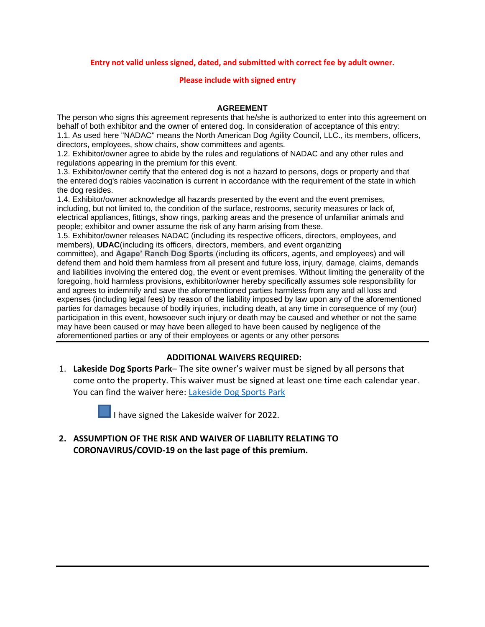#### **Entry not valid unless signed, dated, and submitted with correct fee by adult owner.**

#### **Please include with signed entry**

#### **AGREEMENT**

The person who signs this agreement represents that he/she is authorized to enter into this agreement on behalf of both exhibitor and the owner of entered dog. In consideration of acceptance of this entry: 1.1. As used here "NADAC" means the North American Dog Agility Council, LLC., its members, officers, directors, employees, show chairs, show committees and agents.

1.2. Exhibitor/owner agree to abide by the rules and regulations of NADAC and any other rules and regulations appearing in the premium for this event.

1.3. Exhibitor/owner certify that the entered dog is not a hazard to persons, dogs or property and that the entered dog's rabies vaccination is current in accordance with the requirement of the state in which the dog resides.

1.4. Exhibitor/owner acknowledge all hazards presented by the event and the event premises, including, but not limited to, the condition of the surface, restrooms, security measures or lack of, electrical appliances, fittings, show rings, parking areas and the presence of unfamiliar animals and people; exhibitor and owner assume the risk of any harm arising from these.

1.5. Exhibitor/owner releases NADAC (including its respective officers, directors, employees, and members), **UDAC**(including its officers, directors, members, and event organizing

committee), and **Agape' Ranch Dog Sports** (including its officers, agents, and employees) and will defend them and hold them harmless from all present and future loss, injury, damage, claims, demands and liabilities involving the entered dog, the event or event premises. Without limiting the generality of the foregoing, hold harmless provisions, exhibitor/owner hereby specifically assumes sole responsibility for and agrees to indemnify and save the aforementioned parties harmless from any and all loss and expenses (including legal fees) by reason of the liability imposed by law upon any of the aforementioned parties for damages because of bodily injuries, including death, at any time in consequence of my (our) participation in this event, howsoever such injury or death may be caused and whether or not the same may have been caused or may have been alleged to have been caused by negligence of the aforementioned parties or any of their employees or agents or any other persons

#### **ADDITIONAL WAIVERS REQUIRED:**

1. **Lakeside Dog Sports Park**– The site owner's waiver must be signed by all persons that come onto the property. This waiver must be signed at least one time each calendar year. You can find the waiver here: [Lakeside Dog Sports Park](https://lakesidedogsportspark.com/)



I have signed the Lakeside waiver for 2022.

**2. ASSUMPTION OF THE RISK AND WAIVER OF LIABILITY RELATING TO CORONAVIRUS/COVID-19 on the last page of this premium.**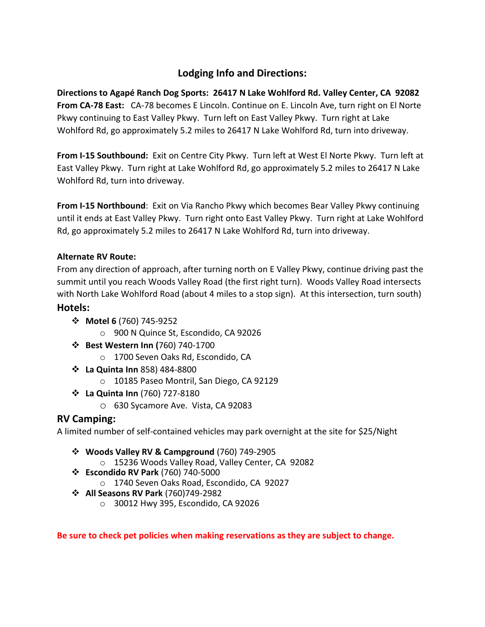# **Lodging Info and Directions:**

**Directions to Agapé Ranch Dog Sports: 26417 N Lake Wohlford Rd. Valley Center, CA 92082 From CA-78 East:** CA-78 becomes E Lincoln. Continue on E. Lincoln Ave, turn right on El Norte Pkwy continuing to East Valley Pkwy. Turn left on East Valley Pkwy. Turn right at Lake Wohlford Rd, go approximately 5.2 miles to 26417 N Lake Wohlford Rd, turn into driveway.

**From I-15 Southbound:** Exit on Centre City Pkwy. Turn left at West El Norte Pkwy. Turn left at East Valley Pkwy. Turn right at Lake Wohlford Rd, go approximately 5.2 miles to 26417 N Lake Wohlford Rd, turn into driveway.

**From I-15 Northbound**: Exit on Via Rancho Pkwy which becomes Bear Valley Pkwy continuing until it ends at East Valley Pkwy. Turn right onto East Valley Pkwy. Turn right at Lake Wohlford Rd, go approximately 5.2 miles to 26417 N Lake Wohlford Rd, turn into driveway.

#### **Alternate RV Route:**

From any direction of approach, after turning north on E Valley Pkwy, continue driving past the summit until you reach Woods Valley Road (the first right turn). Woods Valley Road intersects with North Lake Wohlford Road (about 4 miles to a stop sign). At this intersection, turn south)

#### **Hotels:**

- ❖ **Motel 6** (760) 745-9252
	- o 900 N Quince St, Escondido, CA 92026
- ❖ **Best Western Inn (**760) 740-1700
	- o 1700 Seven Oaks Rd, Escondido, CA
- ❖ **La Quinta Inn** 858) 484-8800
	- o 10185 Paseo Montril, San Diego, CA 92129
- ❖ **La Quinta Inn** (760) 727-8180
	- o 630 Sycamore Ave. Vista, CA 92083

#### **RV Camping:**

A limited number of self-contained vehicles may park overnight at the site for \$25/Night

- ❖ **Woods Valley RV & Campground** (760) 749-2905
	- o 15236 Woods Valley Road, Valley Center, CA 92082
- ❖ **Escondido RV Park** (760) 740-5000
	- o 1740 Seven Oaks Road, Escondido, CA 92027
- ❖ **All Seasons RV Park** (760)749-2982
	- o 30012 Hwy 395, Escondido, CA 92026

**Be sure to check pet policies when making reservations as they are subject to change.**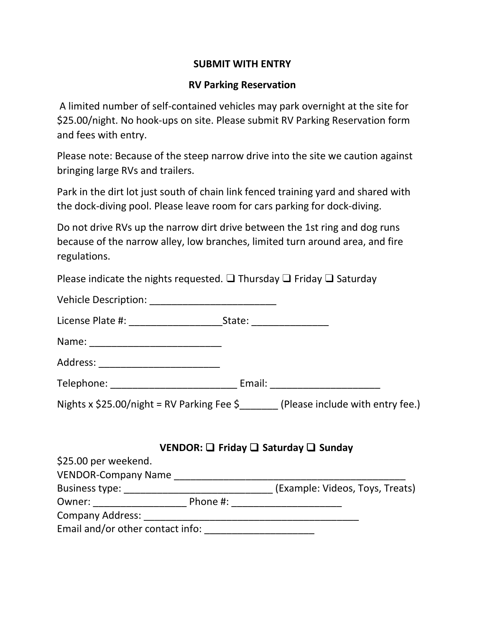### **SUBMIT WITH ENTRY**

### **RV Parking Reservation**

A limited number of self-contained vehicles may park overnight at the site for \$25.00/night. No hook-ups on site. Please submit RV Parking Reservation form and fees with entry.

Please note: Because of the steep narrow drive into the site we caution against bringing large RVs and trailers.

Park in the dirt lot just south of chain link fenced training yard and shared with the dock-diving pool. Please leave room for cars parking for dock-diving.

Do not drive RVs up the narrow dirt drive between the 1st ring and dog runs because of the narrow alley, low branches, limited turn around area, and fire regulations.

Please indicate the nights requested.  $\square$  Thursday  $\square$  Friday  $\square$  Saturday

|                                                                                        | State: ________________ |
|----------------------------------------------------------------------------------------|-------------------------|
|                                                                                        |                         |
| Address: ___________________________                                                   |                         |
|                                                                                        |                         |
| Nights x \$25.00/night = RV Parking Fee $\frac{2}{5}$ (Please include with entry fee.) |                         |
|                                                                                        |                         |
|                                                                                        |                         |

|                                  |          | $\bullet$ Livesn: $\blacksquare$ Theory $\blacksquare$ battered $\blacksquare$ being $\blacksquare$ |
|----------------------------------|----------|-----------------------------------------------------------------------------------------------------|
| \$25.00 per weekend.             |          |                                                                                                     |
| <b>VENDOR-Company Name</b>       |          |                                                                                                     |
| Business type:                   |          | (Example: Videos, Toys, Treats)                                                                     |
| Owner:                           | Phone #: |                                                                                                     |
| <b>Company Address:</b>          |          |                                                                                                     |
| Email and/or other contact info: |          |                                                                                                     |

 **VENDOR:** ❑ **Friday** ❑ **Saturday** ❑ **Sunday**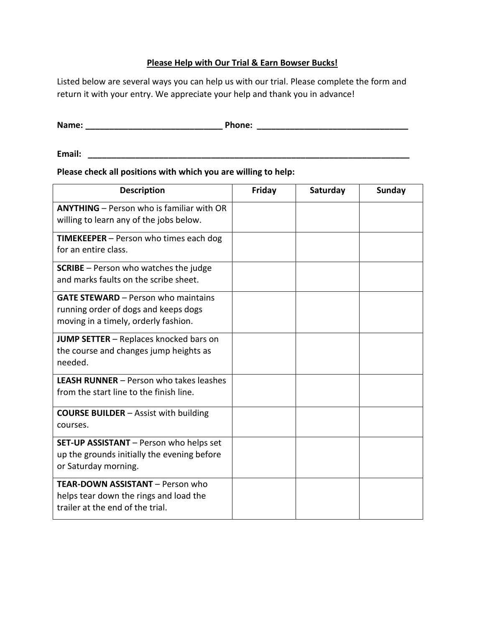#### **Please Help with Our Trial & Earn Bowser Bucks!**

Listed below are several ways you can help us with our trial. Please complete the form and return it with your entry. We appreciate your help and thank you in advance!

| Name: | Phone: |  |
|-------|--------|--|
|       |        |  |

**Email: \_\_\_\_\_\_\_\_\_\_\_\_\_\_\_\_\_\_\_\_\_\_\_\_\_\_\_\_\_\_\_\_\_\_\_\_\_\_\_\_\_\_\_\_\_\_\_\_\_\_\_\_\_\_\_\_\_\_\_\_\_\_\_\_\_\_\_\_**

#### **Please check all positions with which you are willing to help:**

| <b>Description</b>                                                                                                         | Friday | Saturday | Sunday |
|----------------------------------------------------------------------------------------------------------------------------|--------|----------|--------|
| <b>ANYTHING</b> - Person who is familiar with OR<br>willing to learn any of the jobs below.                                |        |          |        |
| <b>TIMEKEEPER</b> – Person who times each dog<br>for an entire class.                                                      |        |          |        |
| <b>SCRIBE</b> – Person who watches the judge<br>and marks faults on the scribe sheet.                                      |        |          |        |
| <b>GATE STEWARD - Person who maintains</b><br>running order of dogs and keeps dogs<br>moving in a timely, orderly fashion. |        |          |        |
| <b>JUMP SETTER</b> – Replaces knocked bars on<br>the course and changes jump heights as<br>needed.                         |        |          |        |
| <b>LEASH RUNNER</b> - Person who takes leashes<br>from the start line to the finish line.                                  |        |          |        |
| <b>COURSE BUILDER</b> – Assist with building<br>courses.                                                                   |        |          |        |
| SET-UP ASSISTANT - Person who helps set<br>up the grounds initially the evening before<br>or Saturday morning.             |        |          |        |
| <b>TEAR-DOWN ASSISTANT - Person who</b><br>helps tear down the rings and load the<br>trailer at the end of the trial.      |        |          |        |